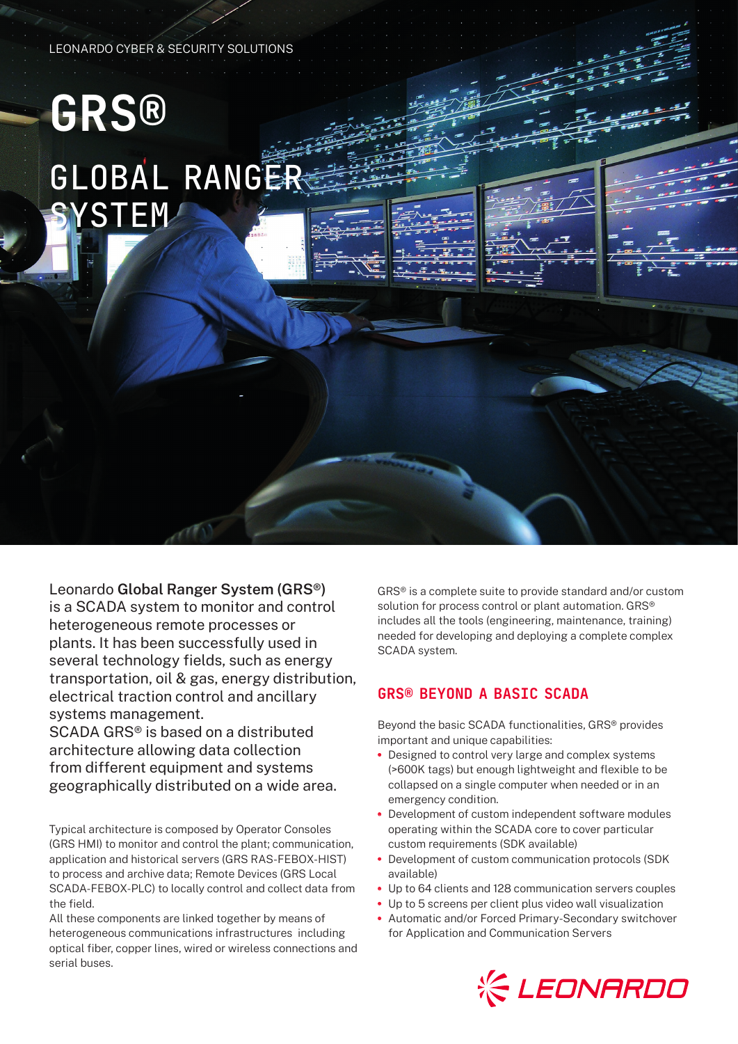#### LEONARDO CYBER & SECURITY SOLUTIONS

# **GRS®** GLOBAL RANGER **SYSTEM**

Leonardo **Global Ranger System (GRS®)** is a SCADA system to monitor and control heterogeneous remote processes or plants. It has been successfully used in several technology fields, such as energy transportation, oil & gas, energy distribution, electrical traction control and ancillary systems management. SCADA GRS® is based on a distributed

architecture allowing data collection from different equipment and systems geographically distributed on a wide area.

Typical architecture is composed by Operator Consoles (GRS HMI) to monitor and control the plant; communication, application and historical servers (GRS RAS-FEBOX-HIST) to process and archive data; Remote Devices (GRS Local SCADA-FEBOX-PLC) to locally control and collect data from the field.

All these components are linked together by means of heterogeneous communications infrastructures including optical fiber, copper lines, wired or wireless connections and serial buses.

GRS® is a complete suite to provide standard and/or custom solution for process control or plant automation. GRS<sup>®</sup> includes all the tools (engineering, maintenance, training) needed for developing and deploying a complete complex SCADA system.

## GRS® BEYOND A BASIC SCADA

Beyond the basic SCADA functionalities, GRS® provides important and unique capabilities:

- **•** Designed to control very large and complex systems (>600K tags) but enough lightweight and flexible to be collapsed on a single computer when needed or in an emergency condition.
- **•** Development of custom independent software modules operating within the SCADA core to cover particular custom requirements (SDK available)
- **•** Development of custom communication protocols (SDK available)
- **•** Up to 64 clients and 128 communication servers couples
- **•** Up to 5 screens per client plus video wall visualization
- **•** Automatic and/or Forced Primary-Secondary switchover for Application and Communication Servers